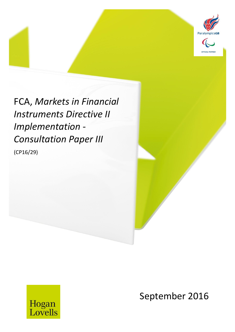

FCA, *Markets in Financial Instruments Directive II Implementation - Consultation Paper III* (CP16/29)



September 2016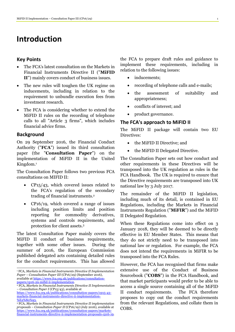# **Introduction**

### **Key Points**

- The FCA's latest consultation on the Markets in Financial Instruments Directive II ("**MiFID II**") mainly covers conduct of business issues.
- The new rules will toughen the UK regime on inducements, including in relation to the requirement to unbundle execution fees from investment research.
- The FCA is considering whether to extend the MiFID II rules on the recording of telephone calls to all "Article 3 firms", which includes financial advice firms.

### **Background**

On 29 September 2016, the Financial Conduct Authority ("**FCA**") issued its third consultation paper (the "**Consultation Paper**") on the implementation of MiFID II in the United Kingdom. 1

The Consultation Paper follows two previous FCA consultations on MIFID II:

- CP15/43, which covered issues related to the FCA's regulation of the secondary trading of financial instruments.<sup>2</sup>
- CP16/19, which covered a range of issues including position limits and position reporting for commodity derivatives, systems and controls requirements, and protection for client assets.<sup>3</sup>

The latest Consultation Paper mainly covers the MiFID II conduct of business requirements, together with some other issues. During the summer of 2016, the European Commission published delegated acts containing detailed rules for the conduct requirements. This has allowed

the FCA to prepare draft rules and guidance to implement these requirements, including in relation to the following issues:

- inducements;
- recording of telephone calls and e-mails;
- the assessment of suitability and appropriateness;
- conflicts of interest; and
- product governance.

## **The FCA's approach to MiFID II**

The MiFID II package will contain two EU Directives:

- the MiFID II Directive; and
- the MiFID II Delegated Directive.

The Consultation Paper sets out how conduct and other requirements in these Directives will be transposed into the UK regulation as rules in the FCA Handbook. The UK is required to ensure that the Directive requirements are transposed into UK national law by 3 July 2017.

The remainder of the MiFID II legislation, including much of its detail, is contained in EU Regulations, including the Markets in Financial Instruments Regulation ("**MiFIR**") and the MiFID II Delegated Regulation.

When these Regulations come into effect on 3 January 2018, they will be deemed to be directly effective in EU Member States. This means that they do not strictly need to be transposed into national law or regulation. For example, the FCA does not intend the requirements in MiFIR to be transposed into the FCA Rules.

However, the FCA has recognised that firms make extensive use of the Conduct of Business Sourcebook ("**COBS**") in the FCA Handbook, and that market participants would prefer to be able to access a single source containing all of the MiFID II conduct requirements. The FCA therefore proposes to copy out the conduct requirements from the relevant Regulations, and collate them in COBS.

<sup>1</sup> <sup>1</sup> FCA, *Markets in Financial Instruments Directive II Implementation Paper – Consultation Paper III* (CP16/29) (September 2016), available a[t https://www.fca.org.uk/publications/consultation-](https://www.fca.org.uk/publications/consultation-papers/cp16-29-mifid-ii-implementation)

[papers/cp16-29-mifid-ii-implementation.](https://www.fca.org.uk/publications/consultation-papers/cp16-29-mifid-ii-implementation)  <sup>2</sup> FCA, *Markets in Financial Instruments Directive II Implementation – Consultation Paper I* (CP15/43), available at

[https://www.fca.org.uk/publications/consultation-papers/cp15-43](https://www.fca.org.uk/publications/consultation-papers/cp15-43-markets-financial-instruments-directive-ii-implementation-%E2%80%93) [markets-financial-instruments-directive-ii-implementation-](https://www.fca.org.uk/publications/consultation-papers/cp15-43-markets-financial-instruments-directive-ii-implementation-%E2%80%93) [%E2%80%93.](https://www.fca.org.uk/publications/consultation-papers/cp15-43-markets-financial-instruments-directive-ii-implementation-%E2%80%93)

<sup>3</sup> FCA, *Markets in Financial Instruments Directive II implementation proposals – Consultation Paper II* (CP16/19) (July 2016), available at [https://www.fca.org.uk/publications/consultation-papers/markets](https://www.fca.org.uk/publications/consultation-papers/markets-financial-instruments-directive-ii-implementation-proposals-cp16-19)[financial-instruments-directive-ii-implementation-proposals-cp16-19.](https://www.fca.org.uk/publications/consultation-papers/markets-financial-instruments-directive-ii-implementation-proposals-cp16-19)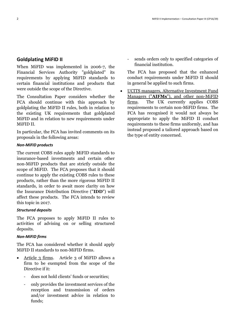## **Goldplating MiFID II**

When MiFID was implemented in 2006-7, the Financial Services Authority "goldplated" its requirements by applying MiFID standards to certain financial institutions and products that were outside the scope of the Directive.

The Consultation Paper considers whether the FCA should continue with this approach by goldplating the MiFID II rules, both in relation to the existing UK requirements that goldplated MiFID and in relation to new requirements under MiFID II.

In particular, the FCA has invited comments on its proposals in the following areas:

#### *Non-MiFID products*

The current COBS rules apply MiFID standards to insurance-based investments and certain other non-MiFID products that are strictly outside the scope of MiFID. The FCA proposes that it should continue to apply the existing COBS rules to these products, rather than the more rigorous MiFID II standards, in order to await more clarity on how the Insurance Distribution Directive ("**IDD**") will affect these products. The FCA intends to review this topic in 2017.

#### *Structured deposits*

The FCA proposes to apply MiFID II rules to activities of advising on or selling structured deposits.

#### *Non-MiFID firms*

The FCA has considered whether it should apply MiFID II standards to non-MiFID firms.

- Article 3 firms. Article 3 of MiFID allows a firm to be exempted from the scope of the Directive if it:
	- does not hold clients' funds or securities;
	- only provides the investment services of the reception and transmission of orders and/or investment advice in relation to funds;

- sends orders only to specified categories of financial institution.

The FCA has proposed that the enhanced conduct requirements under MiFID II should in general be applied to such firms.

 UCITS managers, Alternative Investment Fund Managers ("**AIFMs**"), and other non-MiFID firms. The UK currently applies COBS requirements to certain non-MiFID firms. The FCA has recognised it would not always be appropriate to apply the MiFID II conduct requirements to these firms uniformly, and has instead proposed a tailored approach based on the type of entity concerned.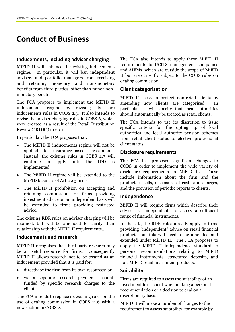# **Conduct of Business**

#### **Inducements, including adviser charging**

MiFID II will enhance the existing inducements regime. In particular, it will ban independent advisers and portfolio managers from receiving and retaining monetary and non-monetary benefits from third parties, other than minor nonmonetary benefits.

The FCA proposes to implement the MiFID II inducements regime by revising its core inducements rules in COBS 2.3. It also intends to revise the adviser charging rules in COBS 6, which were created as a result of the Retail Distribution Review ("**RDR**") in 2012.

In particular, the FCA proposes that:

- The MiFID II inducements regime will not be applied to insurance-based investments. Instead, the existing rules in COBS 2.3 will continue to apply until the IDD is implemented.
- The MiFID II regime will be extended to the MiFID business of Article 3 firms.
- The MiFID II prohibition on accepting and retaining commission for firms providing investment advice on an independent basis will be extended to firms providing restricted advice.

The existing RDR rules on adviser charging will be retained, but will be amended to clarify their relationship with the MiFID II requirements..

### **Inducements and research**

MiFID II recognises that third party research may be a useful resource for firms. Consequently MiFID II allows research not to be treated as an inducement provided that it is paid for:

- directly by the firm from its own resources; or
- via a separate research payment account, funded by specific research charges to the client.

The FCA intends to replace its existing rules on the use of dealing commission in COBS 11.6 with a new section in COBS 2.

The FCA also intends to apply these MiFID II requirements to UCITS management companies and AIFMs, which are outside the scope of MiFID II but are currently subject to the COBS rules on dealing commission.

#### **Client categorisation**

MiFID II seeks to protect non-retail clients by amending how clients are categorised. particular, it will specify that local authorities should automatically be treated as retail clients.

The FCA intends to use its discretion to issue specific criteria for the opting up of local authorities and local authority pension schemes from retail client status to elective professional client status.

#### **Disclosure requirements**

The FCA has proposed significant changes to COBS in order to implement the wide variety of disclosure requirements in MiFID II. These include information about the firm and the products it sells, disclosure of costs and charges, and the provision of periodic reports to clients.

#### **Independence**

MiFID II will require firms which describe their advice as "independent" to assess a sufficient range of financial instruments.

In the UK, the RDR rules already apply to firms providing "independent" advice on retail financial products, but this will need to be amended and extended under MiFID II. The FCA proposes to apply the MiFID II independence standard to personal recommendations relating to MiFID financial instruments, structured deposits, and non-MiFID retail investment products.

#### **Suitability**

Firms are required to assess the suitability of an investment for a client when making a personal recommendation or a decision to deal on a discretionary basis.

MiFID II will make a number of changes to the requirement to assess suitability, for example by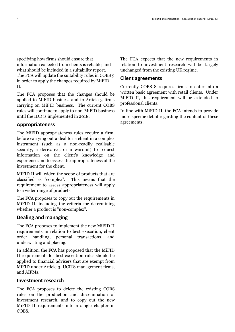specifying how firms should ensure that information collected from clients is reliable, and what should be included in a suitability report. The FCA will update the suitability rules in COBS 9 in order to apply the changes required by MiFID II.

The FCA proposes that the changes should be applied to MiFID business and to Article 3 firms carrying on MiFID business. The current COBS rules will continue to apply to non-MiFID business until the IDD is implemented in 2018.

### **Appropriateness**

The MiFID appropriateness rules require a firm, before carrying out a deal for a client in a complex instrument (such as a non-readily realisable security, a derivative, or a warrant) to request information on the client's knowledge and experience and to assess the appropriateness of the investment for the client.

MiFID II will widen the scope of products that are classified as "complex". This means that the requirement to assess appropriateness will apply to a wider range of products.

The FCA proposes to copy out the requirements in MiFID II, including the criteria for determining whether a product is "non-complex".

#### **Dealing and managing**

The FCA proposes to implement the new MiFID II requirements in relation to best execution, client order handling, personal transactions, and underwriting and placing.

In addition, the FCA has proposed that the MiFID II requirements for best execution rules should be applied to financial advisers that are exempt from MiFID under Article 3, UCITS management firms, and AIFMs.

#### **Investment research**

The FCA proposes to delete the existing COBS rules on the production and dissemination of investment research, and to copy out the new MiFID II requirements into a single chapter in COBS.

The FCA expects that the new requirements in relation to investment research will be largely unchanged from the existing UK regime.

### **Client agreements**

Currently COBS 8 requires firms to enter into a written basic agreement with retail clients. Under MiFID II, this requirement will be extended to professional clients.

In line with MiFID II, the FCA intends to provide more specific detail regarding the content of these agreements.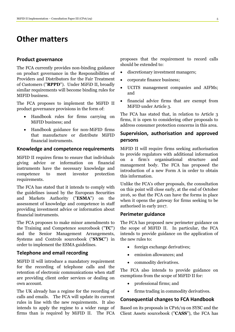# **Other matters**

#### **Product governance**

The FCA currently provides non-binding guidance on product governance in the Responsibilities of Providers and Distributors for the Fair Treatment of Customers ("**RPPD**"). Under MiFiD II, broadly similar requirements will become binding rules for MIFID business.

The FCA proposes to implement the MiFID II product governance provisions in the form of:

- Handbook rules for firms carrying on MiFID business; and
- Handbook guidance for non-MiFID firms that manufacture or distribute MiFID financial instruments.

### **Knowledge and competence requirements**

MiFID II requires firms to ensure that individuals giving advice or information on financial instruments have the necessary knowledge and competence to meet investor protection requirements.

The FCA has stated that it intends to comply with the guidelines issued by the European Securities and Markets Authority ("**ESMA**") on the assessment of knowledge and competence in staff providing investment advice or information about financial instruments.

The FCA proposes to make minor amendments to the Training and Competence sourcebook ("**TC**") and the Senior Management Arrangements, Systems and Controls sourcebook ("**SYSC**") in order to implement the ESMA guidelines.

### **Telephone and email recording**

MiFID II will introduce a mandatory requirement for the recording of telephone calls and the retention of electronic communications when staff are providing client order services or dealing on own account.

The UK already has a regime for the recording of calls and emails. The FCA will update its current rules in line with the new requirements. It also intends to apply the regime to a wider range of firms than is required by MiFID II. The FCA

proposes that the requirement to record calls should be extended to:

- discretionary investment managers;
- corporate finance business;
- UCITS management companies and AIFMs; and
- financial advice firms that are exempt from MiFID under Article 3.

The FCA has stated that, in relation to Article 3 firms, it is open to considering other proposals to address consumer protection concerns in this area.

## **Supervision, authorisation and approved persons**

MiFID II will require firms seeking authorisation to provide regulators with additional information on a firm's organisational structure and management body. The FCA has proposed the introduction of a new Form A in order to obtain this information.

Unlike the FCA's other proposals, the consultation on this point will close early, at the end of October 2016, so that the FCA can have the forms in place when it opens the gateway for firms seeking to be authorised in early 2017.

#### **Perimeter guidance**

The FCA has proposed new perimeter guidance on the scope of MiFID II. In particular, the FCA intends to provide guidance on the application of the new rules to:

- foreign exchange derivatives;
- emission allowances; and
- commodity derivatives.

The FCA also intends to provide guidance on exemptions from the scope of MiFID II for:

- professional firms; and
- firms trading in commodity derivatives.

#### **Consequential changes to FCA Handbook**

Based on its proposals in CP16/19 on SYSC and the Client Assets sourcebook ("**CASS**"), the FCA has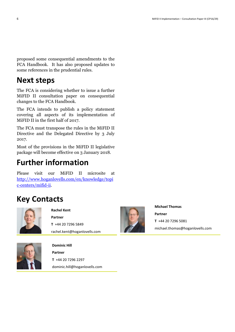proposed some consequential amendments to the FCA Handbook. It has also proposed updates to some references in the prudential rules.

# **Next steps**

The FCA is considering whether to issue a further MiFID II consultation paper on consequential changes to the FCA Handbook.

The FCA intends to publish a policy statement covering all aspects of its implementation of MiFID II in the first half of 2017.

The FCA must transpose the rules in the MiFID II Directive and the Delegated Directive by 3 July 2017.

Most of the provisions in the MiFID II legislative package will become effective on 3 January 2018.

# **Further information**

Please visit our MiFID II microsite at [http://www.hoganlovells.com/en/knowledge/topi](http://www.hoganlovells.com/en/knowledge/topic-centers/mifid-ii) [c-centers/mifid-ii.](http://www.hoganlovells.com/en/knowledge/topic-centers/mifid-ii)

# **Key Contacts**



**Rachel Kent Partner T** +44 20 7296 5849 rachel.kent@hoganlovells.com



**Michael Thomas Partner T** +44 20 7296 5081 michael.thomas@hoganlovells.com



**Dominic Hill Partner T** +44 20 7296 2297 dominic.hill@hoganlovells.com